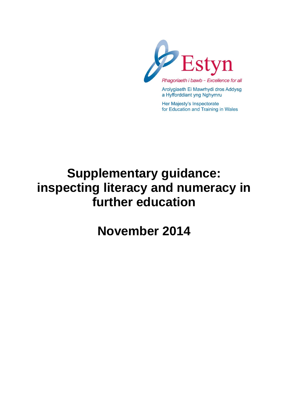

Arolygiaeth Ei Mawrhydi dros Addysg a Hyfforddiant yng Nghymru

Her Majesty's Inspectorate for Education and Training in Wales

# **Supplementary guidance: inspecting literacy and numeracy in further education**

**November 2014**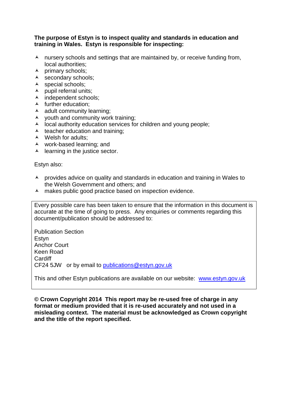## **The purpose of Estyn is to inspect quality and standards in education and training in Wales. Estyn is responsible for inspecting:**

- $\lambda$  nursery schools and settings that are maintained by, or receive funding from, local authorities;
- $\lambda$  primary schools;
- $\lambda$  secondary schools;
- A special schools;
- $\blacktriangle$  pupil referral units;
- A independent schools;
- $\blacktriangle$  further education;
- $\lambda$  adult community learning;
- $\lambda$  vouth and community work training;
- $\lambda$  local authority education services for children and young people;
- $\lambda$  teacher education and training;
- A Welsh for adults;
- work-based learning; and
- $\blacktriangle$  learning in the justice sector.

Estyn also:

- A provides advice on quality and standards in education and training in Wales to the Welsh Government and others; and
- A makes public good practice based on inspection evidence.

Every possible care has been taken to ensure that the information in this document is accurate at the time of going to press. Any enquiries or comments regarding this document/publication should be addressed to:

Publication Section Estyn Anchor Court Keen Road **Cardiff** CF24 5JW or by email to [publications@estyn.gov.uk](mailto:publications@estyn.gov.uk)

This and other Estyn publications are available on our website: [www.estyn.gov.uk](http://www.estyn.gov.uk/)

**© Crown Copyright 2014 This report may be re-used free of charge in any format or medium provided that it is re-used accurately and not used in a misleading context. The material must be acknowledged as Crown copyright and the title of the report specified.**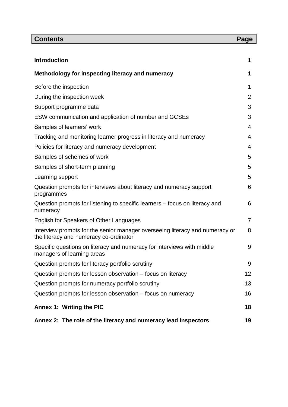| <b>Contents</b>                                                                                                        | Page |
|------------------------------------------------------------------------------------------------------------------------|------|
|                                                                                                                        |      |
| <b>Introduction</b>                                                                                                    | 1    |
| Methodology for inspecting literacy and numeracy                                                                       | 1    |
| Before the inspection                                                                                                  | 1    |
| During the inspection week                                                                                             | 2    |
| Support programme data                                                                                                 | 3    |
| ESW communication and application of number and GCSEs                                                                  | 3    |
| Samples of learners' work                                                                                              | 4    |
| Tracking and monitoring learner progress in literacy and numeracy                                                      | 4    |
| Policies for literacy and numeracy development                                                                         | 4    |
| Samples of schemes of work                                                                                             | 5    |
| Samples of short-term planning                                                                                         | 5    |
| Learning support                                                                                                       | 5    |
| Question prompts for interviews about literacy and numeracy support<br>programmes                                      | 6    |
| Question prompts for listening to specific learners – focus on literacy and<br>numeracy                                | 6    |
| English for Speakers of Other Languages                                                                                | 7    |
| Interview prompts for the senior manager overseeing literacy and numeracy or<br>the literacy and numeracy co-ordinator | 8    |
| Specific questions on literacy and numeracy for interviews with middle<br>managers of learning areas                   | 9    |
| Question prompts for literacy portfolio scrutiny                                                                       | 9    |
| Question prompts for lesson observation – focus on literacy                                                            | 12   |
| Question prompts for numeracy portfolio scrutiny                                                                       | 13   |
| Question prompts for lesson observation – focus on numeracy                                                            | 16   |
| <b>Annex 1: Writing the PIC</b>                                                                                        | 18   |
| Annex 2: The role of the literacy and numeracy lead inspectors                                                         | 19   |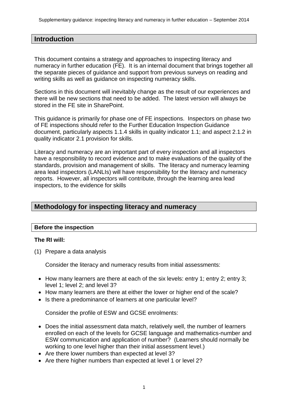## **Introduction**

This document contains a strategy and approaches to inspecting literacy and numeracy in further education (FE). It is an internal document that brings together all the separate pieces of guidance and support from previous surveys on reading and writing skills as well as guidance on inspecting numeracy skills.

Sections in this document will inevitably change as the result of our experiences and there will be new sections that need to be added. The latest version will always be stored in the FE site in SharePoint.

This guidance is primarily for phase one of FE inspections. Inspectors on phase two of FE inspections should refer to the Further Education Inspection Guidance document, particularly aspects 1.1.4 skills in quality indicator 1.1; and aspect 2.1.2 in quality indicator 2.1 provision for skills.

Literacy and numeracy are an important part of every inspection and all inspectors have a responsibility to record evidence and to make evaluations of the quality of the standards, provision and management of skills. The literacy and numeracy learning area lead inspectors (LANLIs) will have responsibility for the literacy and numeracy reports. However, all inspectors will contribute, through the learning area lead inspectors, to the evidence for skills

# **Methodology for inspecting literacy and numeracy**

## **Before the inspection**

## **The RI will:**

(1) Prepare a data analysis

Consider the literacy and numeracy results from initial assessments:

- How many learners are there at each of the six levels: entry 1; entry 2; entry 3; level 1; level 2; and level 3?
- How many learners are there at either the lower or higher end of the scale?
- Is there a predominance of learners at one particular level?

Consider the profile of ESW and GCSE enrolments:

- Does the initial assessment data match, relatively well, the number of learners enrolled on each of the levels for GCSE language and mathematics-number and ESW communication and application of number? (Learners should normally be working to one level higher than their initial assessment level.)
- Are there lower numbers than expected at level 3?
- Are there higher numbers than expected at level 1 or level 2?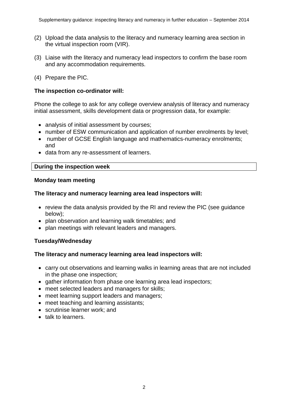- (2) Upload the data analysis to the literacy and numeracy learning area section in the virtual inspection room (VIR).
- (3) Liaise with the literacy and numeracy lead inspectors to confirm the base room and any accommodation requirements.
- (4) Prepare the PIC.

## **The inspection co-ordinator will:**

Phone the college to ask for any college overview analysis of literacy and numeracy initial assessment, skills development data or progression data, for example:

- analysis of initial assessment by courses;
- number of ESW communication and application of number enrolments by level;
- number of GCSE English language and mathematics-numeracy enrolments; and
- data from any re-assessment of learners.

## **During the inspection week**

## **Monday team meeting**

## **The literacy and numeracy learning area lead inspectors will:**

- review the data analysis provided by the RI and review the PIC (see guidance below);
- plan observation and learning walk timetables; and
- plan meetings with relevant leaders and managers.

## **Tuesday/Wednesday**

## **The literacy and numeracy learning area lead inspectors will:**

- carry out observations and learning walks in learning areas that are not included in the phase one inspection;
- gather information from phase one learning area lead inspectors;
- meet selected leaders and managers for skills;
- meet learning support leaders and managers;
- meet teaching and learning assistants;
- scrutinise learner work; and
- talk to learners.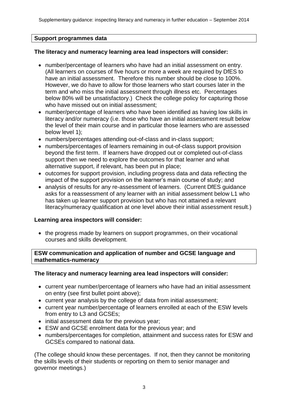## **Support programmes data**

## **The literacy and numeracy learning area lead inspectors will consider:**

- number/percentage of learners who have had an initial assessment on entry. (All learners on courses of five hours or more a week are required by DfES to have an initial assessment. Therefore this number should be close to 100%. However, we do have to allow for those learners who start courses later in the term and who miss the initial assessment through illness etc. Percentages below 80% will be unsatisfactory.) Check the college policy for capturing those who have missed out on initial assessment:
- number/percentage of learners who have been identified as having low skills in literacy and/or numeracy (i.e. those who have an initial assessment result below the level of their main course and in particular those learners who are assessed below level 1);
- numbers/percentages attending out-of-class and in-class support;
- numbers/percentages of learners remaining in out-of-class support provision beyond the first term. If learners have dropped out or completed out-of-class support then we need to explore the outcomes for that learner and what alternative support, if relevant, has been put in place;
- outcomes for support provision, including progress data and data reflecting the impact of the support provision on the learner's main course of study; and
- analysis of results for any re-assessment of learners. (Current DfES quidance asks for a reassessment of any learner with an initial assessment below L1 who has taken up learner support provision but who has not attained a relevant literacy/numeracy qualification at one level above their initial assessment result.)

## **Learning area inspectors will consider:**

• the progress made by learners on support programmes, on their vocational courses and skills development.

**ESW communication and application of number and GCSE language and mathematics-numeracy**

## **The literacy and numeracy learning area lead inspectors will consider:**

- current year number/percentage of learners who have had an initial assessment on entry (see first bullet point above);
- current year analysis by the college of data from initial assessment;
- current year number/percentage of learners enrolled at each of the ESW levels from entry to L3 and GCSEs;
- initial assessment data for the previous year;
- ESW and GCSE enrolment data for the previous year; and
- numbers/percentages for completion, attainment and success rates for ESW and GCSEs compared to national data.

(The college should know these percentages. If not, then they cannot be monitoring the skills levels of their students or reporting on them to senior manager and governor meetings.)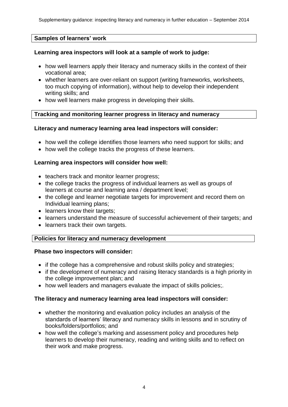## **Samples of learners' work**

## **Learning area inspectors will look at a sample of work to judge:**

- how well learners apply their literacy and numeracy skills in the context of their vocational area;
- whether learners are over-reliant on support (writing frameworks, worksheets, too much copying of information), without help to develop their independent writing skills; and
- how well learners make progress in developing their skills.

## **Tracking and monitoring learner progress in literacy and numeracy**

## **Literacy and numeracy learning area lead inspectors will consider:**

- how well the college identifies those learners who need support for skills; and
- how well the college tracks the progress of these learners.

## **Learning area inspectors will consider how well:**

- teachers track and monitor learner progress;
- the college tracks the progress of individual learners as well as groups of learners at course and learning area / department level;
- the college and learner negotiate targets for improvement and record them on Individual learning plans;
- learners know their targets;
- learners understand the measure of successful achievement of their targets; and
- learners track their own targets.

## **Policies for literacy and numeracy development**

## **Phase two inspectors will consider:**

- if the college has a comprehensive and robust skills policy and strategies;
- if the development of numeracy and raising literacy standards is a high priority in the college improvement plan; and
- how well leaders and managers evaluate the impact of skills policies;

## **The literacy and numeracy learning area lead inspectors will consider:**

- whether the monitoring and evaluation policy includes an analysis of the standards of learners' literacy and numeracy skills in lessons and in scrutiny of books/folders/portfolios; and
- how well the college's marking and assessment policy and procedures help learners to develop their numeracy, reading and writing skills and to reflect on their work and make progress.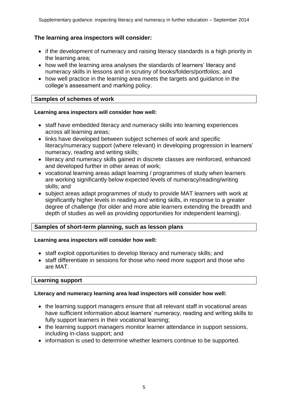## **The learning area inspectors will consider:**

- if the development of numeracy and raising literacy standards is a high priority in the learning area;
- how well the learning area analyses the standards of learners' literacy and numeracy skills in lessons and in scrutiny of books/folders/portfolios; and
- how well practice in the learning area meets the targets and guidance in the college's assessment and marking policy.

## **Samples of schemes of work**

#### **Learning area inspectors will consider how well:**

- staff have embedded literacy and numeracy skills into learning experiences across all learning areas;
- links have developed between subject schemes of work and specific literacy/numeracy support (where relevant) in developing progression in learners' numeracy, reading and writing skills;
- literacy and numeracy skills gained in discrete classes are reinforced, enhanced and developed further in other areas of work;
- vocational learning areas adapt learning / programmes of study when learners are working significantly below expected levels of numeracy/reading/writing skills; and
- subject areas adapt programmes of study to provide MAT learners with work at significantly higher levels in reading and writing skills, in response to a greater degree of challenge (for older and more able learners extending the breadth and depth of studies as well as providing opportunities for independent learning).

## **Samples of short-term planning, such as lesson plans**

## **Learning area inspectors will consider how well:**

- staff exploit opportunities to develop literacy and numeracy skills; and
- staff differentiate in sessions for those who need more support and those who are MAT.

## **Learning support**

#### **Literacy and numeracy learning area lead inspectors will consider how well:**

- the learning support managers ensure that all relevant staff in vocational areas have sufficient information about learners' numeracy, reading and writing skills to fully support learners in their vocational learning;
- the learning support managers monitor learner attendance in support sessions, including in-class support; and
- information is used to determine whether learners continue to be supported.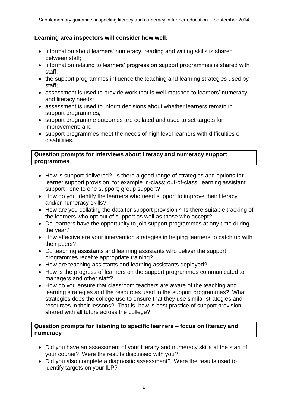## **Learning area inspectors will consider how well:**

- information about learners' numeracy, reading and writing skills is shared between staff;
- information relating to learners' progress on support programmes is shared with staff;
- the support programmes influence the teaching and learning strategies used by staff;
- assessment is used to provide work that is well matched to learners' numeracy and literacy needs;
- assessment is used to inform decisions about whether learners remain in support programmes;
- support programme outcomes are collated and used to set targets for improvement; and
- support programmes meet the needs of high level learners with difficulties or disabilities.

## **Question prompts for interviews about literacy and numeracy support programmes**

- How is support delivered? Is there a good range of strategies and options for learner support provision, for example in-class; out-of-class; learning assistant support ; one to one support; group support?
- How do you identify the learners who need support to improve their literacy and/or numeracy skills?
- How are you collating the data for support provision? Is there suitable tracking of the learners who opt out of support as well as those who accept?
- Do learners have the opportunity to join support programmes at any time during the year?
- How effective are your intervention strategies in helping learners to catch up with their peers?
- Do teaching assistants and learning assistants who deliver the support programmes receive appropriate training?
- How are teaching assistants and learning assistants deployed?
- How is the progress of learners on the support programmes communicated to managers and other staff?
- How do you ensure that classroom teachers are aware of the teaching and learning strategies and the resources used in the support programmes? What strategies does the college use to ensure that they use similar strategies and resources in their lessons? That is, how is best practice of support provision shared with all tutors across the college?

## **Question prompts for listening to specific learners – focus on literacy and numeracy**

- Did you have an assessment of your literacy and numeracy skills at the start of your course? Were the results discussed with you?
- Did you also complete a diagnostic assessment? Were the results used to identify targets on your ILP?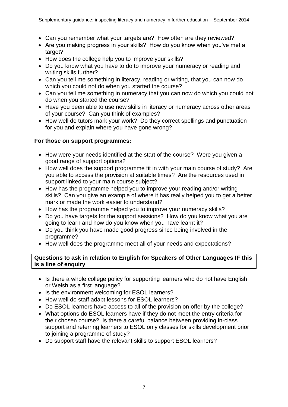- Can you remember what your targets are? How often are they reviewed?
- Are you making progress in your skills? How do you know when you've met a target?
- How does the college help you to improve your skills?
- Do you know what you have to do to improve your numeracy or reading and writing skills further?
- Can you tell me something in literacy, reading or writing, that you can now do which you could not do when you started the course?
- Can you tell me something in numeracy that you can now do which you could not do when you started the course?
- Have you been able to use new skills in literacy or numeracy across other areas of your course? Can you think of examples?
- How well do tutors mark your work? Do they correct spellings and punctuation for you and explain where you have gone wrong?

## **For those on support programmes:**

- How were your needs identified at the start of the course? Were you given a good range of support options?
- How well does the support programme fit in with your main course of study? Are you able to access the provision at suitable times? Are the resources used in support linked to your main course subject?
- How has the programme helped you to improve your reading and/or writing skills? Can you give an example of where it has really helped you to get a better mark or made the work easier to understand?
- How has the programme helped you to improve your numeracy skills?
- Do you have targets for the support sessions? How do you know what you are going to learn and how do you know when you have learnt it?
- Do you think you have made good progress since being involved in the programme?
- How well does the programme meet all of your needs and expectations?

## **Questions to ask in relation to English for Speakers of Other Languages IF this is a line of enquiry**

- Is there a whole college policy for supporting learners who do not have English or Welsh as a first language?
- Is the environment welcoming for ESOL learners?
- How well do staff adapt lessons for ESOL learners?
- Do ESOL learners have access to all of the provision on offer by the college?
- What options do ESOL learners have if they do not meet the entry criteria for their chosen course? Is there a careful balance between providing in-class support and referring learners to ESOL only classes for skills development prior to joining a programme of study?
- Do support staff have the relevant skills to support ESOL learners?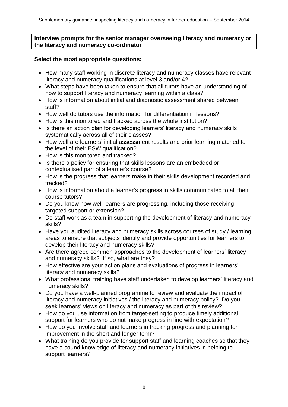## **Interview prompts for the senior manager overseeing literacy and numeracy or the literacy and numeracy co-ordinator**

## **Select the most appropriate questions:**

- How many staff working in discrete literacy and numeracy classes have relevant literacy and numeracy qualifications at level 3 and/or 4?
- What steps have been taken to ensure that all tutors have an understanding of how to support literacy and numeracy learning within a class?
- How is information about initial and diagnostic assessment shared between staff?
- How well do tutors use the information for differentiation in lessons?
- How is this monitored and tracked across the whole institution?
- Is there an action plan for developing learners' literacy and numeracy skills systematically across all of their classes?
- How well are learners' initial assessment results and prior learning matched to the level of their ESW qualification?
- How is this monitored and tracked?
- Is there a policy for ensuring that skills lessons are an embedded or contextualised part of a learner's course?
- How is the progress that learners make in their skills development recorded and tracked?
- How is information about a learner's progress in skills communicated to all their course tutors?
- Do you know how well learners are progressing, including those receiving targeted support or extension?
- Do staff work as a team in supporting the development of literacy and numeracy skills?
- Have you audited literacy and numeracy skills across courses of study / learning areas to ensure that subjects identify and provide opportunities for learners to develop their literacy and numeracy skills?
- Are there agreed common approaches to the development of learners' literacy and numeracy skills? If so, what are they?
- How effective are your action plans and evaluations of progress in learners' literacy and numeracy skills?
- What professional training have staff undertaken to develop learners' literacy and numeracy skills?
- Do you have a well-planned programme to review and evaluate the impact of literacy and numeracy initiatives / the literacy and numeracy policy? Do you seek learners' views on literacy and numeracy as part of this review?
- How do you use information from target-setting to produce timely additional support for learners who do not make progress in line with expectation?
- How do you involve staff and learners in tracking progress and planning for improvement in the short and longer term?
- What training do you provide for support staff and learning coaches so that they have a sound knowledge of literacy and numeracy initiatives in helping to support learners?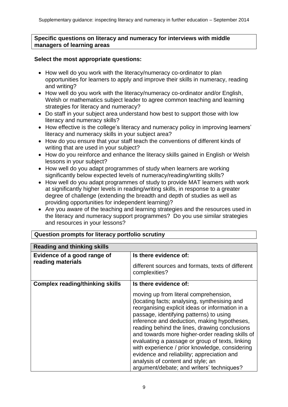## **Specific questions on literacy and numeracy for interviews with middle managers of learning areas**

## **Select the most appropriate questions:**

- How well do you work with the literacy/numeracy co-ordinator to plan opportunities for learners to apply and improve their skills in numeracy, reading and writing?
- How well do you work with the literacy/numeracy co-ordinator and/or English, Welsh or mathematics subject leader to agree common teaching and learning strategies for literacy and numeracy?
- Do staff in your subject area understand how best to support those with low literacy and numeracy skills?
- How effective is the college's literacy and numeracy policy in improving learners' literacy and numeracy skills in your subject area?
- How do you ensure that your staff teach the conventions of different kinds of writing that are used in your subject?
- How do you reinforce and enhance the literacy skills gained in English or Welsh lessons in your subject?
- How well do you adapt programmes of study when learners are working significantly below expected levels of numeracy/reading/writing skills?
- How well do you adapt programmes of study to provide MAT learners with work at significantly higher levels in reading/writing skills, in response to a greater degree of challenge (extending the breadth and depth of studies as well as providing opportunities for independent learning)?
- Are you aware of the teaching and learning strategies and the resources used in the literacy and numeracy support programmes? Do you use similar strategies and resources in your lessons?

| <b>Reading and thinking skills</b>               |                                                                                                                                                                                                                                                                                                                                                                                                                                                                                                                                                                             |
|--------------------------------------------------|-----------------------------------------------------------------------------------------------------------------------------------------------------------------------------------------------------------------------------------------------------------------------------------------------------------------------------------------------------------------------------------------------------------------------------------------------------------------------------------------------------------------------------------------------------------------------------|
| Evidence of a good range of<br>reading materials | Is there evidence of:                                                                                                                                                                                                                                                                                                                                                                                                                                                                                                                                                       |
|                                                  | different sources and formats, texts of different<br>complexities?                                                                                                                                                                                                                                                                                                                                                                                                                                                                                                          |
| <b>Complex reading/thinking skills</b>           | Is there evidence of:                                                                                                                                                                                                                                                                                                                                                                                                                                                                                                                                                       |
|                                                  | moving up from literal comprehension,<br>(locating facts; analysing, synthesising and<br>reorganising explicit ideas or information in a<br>passage, identifying patterns) to using<br>inference and deduction, making hypotheses,<br>reading behind the lines, drawing conclusions<br>and towards more higher-order reading skills of<br>evaluating a passage or group of texts, linking<br>with experience / prior knowledge, considering<br>evidence and reliability; appreciation and<br>analysis of content and style; an<br>argument/debate; and writers' techniques? |

## **Question prompts for literacy portfolio scrutiny**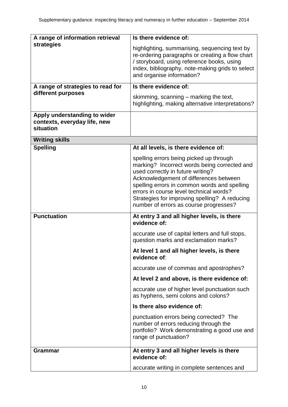| A range of information retrieval                                          | Is there evidence of:                                                                                                                                                                                                                                                                                              |
|---------------------------------------------------------------------------|--------------------------------------------------------------------------------------------------------------------------------------------------------------------------------------------------------------------------------------------------------------------------------------------------------------------|
| strategies                                                                | highlighting, summarising, sequencing text by<br>re-ordering paragraphs or creating a flow chart                                                                                                                                                                                                                   |
|                                                                           | / storyboard, using reference books, using                                                                                                                                                                                                                                                                         |
|                                                                           | index, bibliography, note-making grids to select                                                                                                                                                                                                                                                                   |
|                                                                           | and organise information?                                                                                                                                                                                                                                                                                          |
| A range of strategies to read for<br>different purposes                   | Is there evidence of:                                                                                                                                                                                                                                                                                              |
|                                                                           | skimming, scanning – marking the text,<br>highlighting, making alternative interpretations?                                                                                                                                                                                                                        |
| Apply understanding to wider<br>contexts, everyday life, new<br>situation |                                                                                                                                                                                                                                                                                                                    |
| <b>Writing skills</b>                                                     |                                                                                                                                                                                                                                                                                                                    |
| <b>Spelling</b>                                                           | At all levels, is there evidence of:                                                                                                                                                                                                                                                                               |
|                                                                           | spelling errors being picked up through<br>marking? Incorrect words being corrected and<br>used correctly in future writing?<br>Acknowledgement of differences between<br>spelling errors in common words and spelling<br>errors in course level technical words?<br>Strategies for improving spelling? A reducing |
|                                                                           | number of errors as course progresses?                                                                                                                                                                                                                                                                             |
| <b>Punctuation</b>                                                        | At entry 3 and all higher levels, is there<br>evidence of:                                                                                                                                                                                                                                                         |
|                                                                           | accurate use of capital letters and full stops,<br>question marks and exclamation marks?                                                                                                                                                                                                                           |
|                                                                           | At level 1 and all higher levels, is there<br>evidence of:                                                                                                                                                                                                                                                         |
|                                                                           | accurate use of commas and apostrophes?                                                                                                                                                                                                                                                                            |
|                                                                           | At level 2 and above, is there evidence of:                                                                                                                                                                                                                                                                        |
|                                                                           | accurate use of higher level punctuation such<br>as hyphens, semi colons and colons?                                                                                                                                                                                                                               |
|                                                                           | Is there also evidence of:                                                                                                                                                                                                                                                                                         |
|                                                                           | punctuation errors being corrected? The<br>number of errors reducing through the<br>portfolio? Work demonstrating a good use and<br>range of punctuation?                                                                                                                                                          |
| <b>Grammar</b>                                                            | At entry 3 and all higher levels is there<br>evidence of:                                                                                                                                                                                                                                                          |
|                                                                           | accurate writing in complete sentences and                                                                                                                                                                                                                                                                         |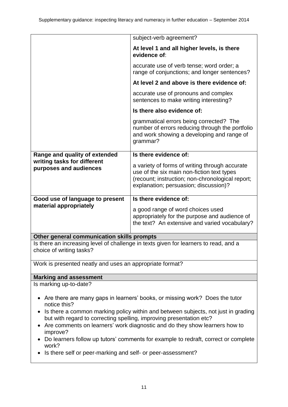| subject-verb agreement?                                                                                                                                                                                                                                                                                                                                                                                        |  |  |
|----------------------------------------------------------------------------------------------------------------------------------------------------------------------------------------------------------------------------------------------------------------------------------------------------------------------------------------------------------------------------------------------------------------|--|--|
| At level 1 and all higher levels, is there<br>evidence of:                                                                                                                                                                                                                                                                                                                                                     |  |  |
| accurate use of verb tense; word order; a<br>range of conjunctions; and longer sentences?                                                                                                                                                                                                                                                                                                                      |  |  |
| At level 2 and above is there evidence of:                                                                                                                                                                                                                                                                                                                                                                     |  |  |
| accurate use of pronouns and complex<br>sentences to make writing interesting?                                                                                                                                                                                                                                                                                                                                 |  |  |
| Is there also evidence of:                                                                                                                                                                                                                                                                                                                                                                                     |  |  |
| grammatical errors being corrected? The<br>number of errors reducing through the portfolio<br>and work showing a developing and range of<br>grammar?                                                                                                                                                                                                                                                           |  |  |
| Is there evidence of:                                                                                                                                                                                                                                                                                                                                                                                          |  |  |
| a variety of forms of writing through accurate<br>use of the six main non-fiction text types<br>(recount; instruction; non-chronological report;<br>explanation; persuasion; discussion)?                                                                                                                                                                                                                      |  |  |
| Is there evidence of:                                                                                                                                                                                                                                                                                                                                                                                          |  |  |
| a good range of word choices used<br>appropriately for the purpose and audience of<br>the text? An extensive and varied vocabulary?                                                                                                                                                                                                                                                                            |  |  |
|                                                                                                                                                                                                                                                                                                                                                                                                                |  |  |
| Other general communication skills prompts<br>Is there an increasing level of challenge in texts given for learners to read, and a<br>choice of writing tasks?                                                                                                                                                                                                                                                 |  |  |
| Work is presented neatly and uses an appropriate format?                                                                                                                                                                                                                                                                                                                                                       |  |  |
| <b>Marking and assessment</b>                                                                                                                                                                                                                                                                                                                                                                                  |  |  |
|                                                                                                                                                                                                                                                                                                                                                                                                                |  |  |
| Are there are many gaps in learners' books, or missing work? Does the tutor<br>notice this?<br>Is there a common marking policy within and between subjects, not just in grading<br>٠<br>but with regard to correcting spelling, improving presentation etc?<br>Are comments on learners' work diagnostic and do they show learners how to<br>improve?<br>re fellow un tutoro' commente for example to redroft |  |  |
|                                                                                                                                                                                                                                                                                                                                                                                                                |  |  |

- Do learners follow up tutors' comments for example to redraft, correct or complete work?
- Is there self or peer-marking and self- or peer-assessment?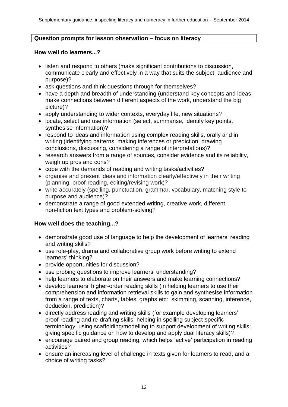## **Question prompts for lesson observation – focus on literacy**

#### **How well do learners...?**

- listen and respond to others (make significant contributions to discussion, communicate clearly and effectively in a way that suits the subject, audience and purpose)?
- ask questions and think questions through for themselves?
- have a depth and breadth of understanding (understand key concepts and ideas, make connections between different aspects of the work, understand the big picture)?
- apply understanding to wider contexts, everyday life, new situations?
- locate, select and use information (select, summarise, identify key points, synthesise information)?
- respond to ideas and information using complex reading skills, orally and in writing (identifying patterns, making inferences or prediction, drawing conclusions, discussing, considering a range of interpretations)?
- research answers from a range of sources, consider evidence and its reliability, weigh up pros and cons?
- cope with the demands of reading and writing tasks/activities?
- organise and present ideas and information clearly/effectively in their writing (planning, proof-reading, editing/revising work)?
- write accurately (spelling, punctuation, grammar, vocabulary, matching style to purpose and audience)?
- demonstrate a range of good extended writing, creative work, different non-fiction text types and problem-solving?

## **How well does the teaching...?**

- demonstrate good use of language to help the development of learners' reading and writing skills?
- use role-play, drama and collaborative group work before writing to extend learners' thinking?
- provide opportunities for discussion?
- use probing questions to improve learners' understanding?
- help learners to elaborate on their answers and make learning connections?
- develop learners' higher-order reading skills (in helping learners to use their comprehension and information retrieval skills to gain and synthesise information from a range of texts, charts, tables, graphs etc: skimming, scanning, inference, deduction, prediction)?
- directly address reading and writing skills (for example developing learners' proof-reading and re-drafting skills; helping in spelling subject-specific terminology; using scaffolding/modelling to support development of writing skills; giving specific guidance on how to develop and apply dual literacy skills)?
- encourage paired and group reading, which helps 'active' participation in reading activities?
- ensure an increasing level of challenge in texts given for learners to read, and a choice of writing tasks?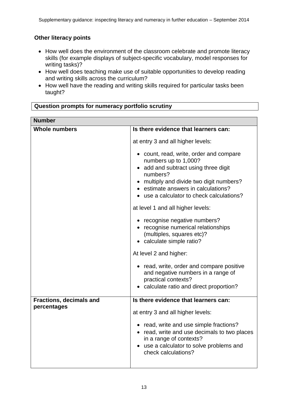## **Other literacy points**

- How well does the environment of the classroom celebrate and promote literacy skills (for example displays of subject-specific vocabulary, model responses for writing tasks)?
- How well does teaching make use of suitable opportunities to develop reading and writing skills across the curriculum?
- How well have the reading and writing skills required for particular tasks been taught?

## **Question prompts for numeracy portfolio scrutiny**

| <b>Number</b>                  |                                                                                                                                                                                                                                                     |
|--------------------------------|-----------------------------------------------------------------------------------------------------------------------------------------------------------------------------------------------------------------------------------------------------|
| <b>Whole numbers</b>           | Is there evidence that learners can:                                                                                                                                                                                                                |
|                                | at entry 3 and all higher levels:                                                                                                                                                                                                                   |
|                                | • count, read, write, order and compare<br>numbers up to 1,000?<br>• add and subtract using three digit<br>numbers?<br>• multiply and divide two digit numbers?<br>• estimate answers in calculations?<br>• use a calculator to check calculations? |
|                                | at level 1 and all higher levels:                                                                                                                                                                                                                   |
|                                | • recognise negative numbers?<br>• recognise numerical relationships<br>(multiples, squares etc)?<br>• calculate simple ratio?                                                                                                                      |
|                                | At level 2 and higher:                                                                                                                                                                                                                              |
|                                | • read, write, order and compare positive<br>and negative numbers in a range of<br>practical contexts?<br>calculate ratio and direct proportion?                                                                                                    |
| <b>Fractions, decimals and</b> | Is there evidence that learners can:                                                                                                                                                                                                                |
| percentages                    | at entry 3 and all higher levels:                                                                                                                                                                                                                   |
|                                | • read, write and use simple fractions?<br>• read, write and use decimals to two places<br>in a range of contexts?<br>• use a calculator to solve problems and<br>check calculations?                                                               |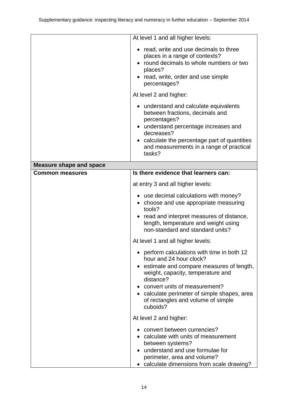|                                | At level 1 and all higher levels:                                                                                      |
|--------------------------------|------------------------------------------------------------------------------------------------------------------------|
|                                | • read, write and use decimals to three                                                                                |
|                                | places in a range of contexts?<br>• round decimals to whole numbers or two                                             |
|                                | places?                                                                                                                |
|                                | • read, write, order and use simple                                                                                    |
|                                | percentages?                                                                                                           |
|                                | At level 2 and higher:                                                                                                 |
|                                | • understand and calculate equivalents                                                                                 |
|                                | between fractions, decimals and<br>percentages?                                                                        |
|                                | • understand percentage increases and                                                                                  |
|                                | decreases?                                                                                                             |
|                                | calculate the percentage part of quantities<br>and measurements in a range of practical                                |
|                                | tasks?                                                                                                                 |
| <b>Measure shape and space</b> |                                                                                                                        |
| <b>Common measures</b>         | Is there evidence that learners can:                                                                                   |
|                                | at entry 3 and all higher levels:                                                                                      |
|                                | • use decimal calculations with money?<br>• choose and use appropriate measuring<br>tools?                             |
|                                | • read and interpret measures of distance,<br>length, temperature and weight using<br>non-standard and standard units? |
|                                | At level 1 and all higher levels:                                                                                      |
|                                | • perform calculations with time in both 12<br>hour and 24 hour clock?                                                 |
|                                | estimate and compare measures of length,<br>weight, capacity, temperature and<br>distance?                             |
|                                | convert units of measurement?                                                                                          |
|                                | • calculate perimeter of simple shapes, area                                                                           |
|                                | of rectangles and volume of simple<br>cuboids?                                                                         |
|                                | At level 2 and higher:                                                                                                 |
|                                | • convert between currencies?                                                                                          |
|                                | • calculate with units of measurement                                                                                  |
|                                | between systems?<br>• understand and use formulae for                                                                  |
|                                | perimeter, area and volume?                                                                                            |
|                                | calculate dimensions from scale drawing?                                                                               |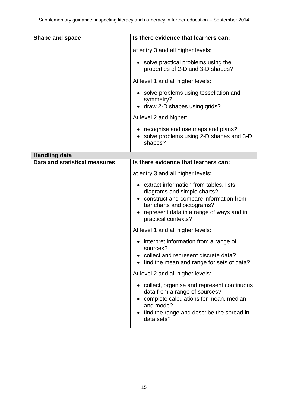| Shape and space               | Is there evidence that learners can:                                                                                                                                                                                |
|-------------------------------|---------------------------------------------------------------------------------------------------------------------------------------------------------------------------------------------------------------------|
|                               | at entry 3 and all higher levels:                                                                                                                                                                                   |
|                               | • solve practical problems using the<br>properties of 2-D and 3-D shapes?                                                                                                                                           |
|                               | At level 1 and all higher levels:                                                                                                                                                                                   |
|                               | • solve problems using tessellation and<br>symmetry?<br>draw 2-D shapes using grids?                                                                                                                                |
|                               | At level 2 and higher:                                                                                                                                                                                              |
|                               | • recognise and use maps and plans?<br>• solve problems using 2-D shapes and 3-D<br>shapes?                                                                                                                         |
| <b>Handling data</b>          |                                                                                                                                                                                                                     |
| Data and statistical measures | Is there evidence that learners can:                                                                                                                                                                                |
|                               | at entry 3 and all higher levels:                                                                                                                                                                                   |
|                               | • extract information from tables, lists,<br>diagrams and simple charts?<br>construct and compare information from<br>bar charts and pictograms?<br>represent data in a range of ways and in<br>practical contexts? |
|                               | At level 1 and all higher levels:                                                                                                                                                                                   |
|                               | interpret information from a range of<br>sources?<br>• collect and represent discrete data?<br>find the mean and range for sets of data?                                                                            |
|                               | At level 2 and all higher levels:                                                                                                                                                                                   |
|                               | • collect, organise and represent continuous<br>data from a range of sources?<br>complete calculations for mean, median<br>and mode?<br>find the range and describe the spread in<br>data sets?                     |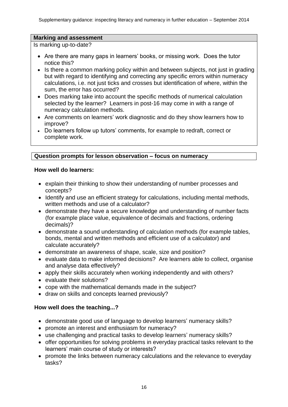## **Marking and assessment**

Is marking up-to-date?

- Are there are many gaps in learners' books, or missing work. Does the tutor notice this?
- Is there a common marking policy within and between subjects, not just in grading but with regard to identifying and correcting any specific errors within numeracy calculations, i.e. not just ticks and crosses but identification of where, within the sum, the error has occurred?
- Does marking take into account the specific methods of numerical calculation selected by the learner? Learners in post-16 may come in with a range of numeracy calculation methods.
- Are comments on learners' work diagnostic and do they show learners how to improve?
- Do learners follow up tutors' comments, for example to redraft, correct or complete work.

## **Question prompts for lesson observation – focus on numeracy**

## **How well do learners:**

- explain their thinking to show their understanding of number processes and concepts?
- Identify and use an efficient strategy for calculations, including mental methods, written methods and use of a calculator?
- demonstrate they have a secure knowledge and understanding of number facts (for example place value, equivalence of decimals and fractions, ordering decimals)?
- demonstrate a sound understanding of calculation methods (for example tables, bonds, mental and written methods and efficient use of a calculator) and calculate accurately?
- demonstrate an awareness of shape, scale, size and position?
- evaluate data to make informed decisions? Are learners able to collect, organise and analyse data effectively?
- apply their skills accurately when working independently and with others?
- evaluate their solutions?
- cope with the mathematical demands made in the subject?
- draw on skills and concepts learned previously?

## **How well does the teaching...?**

- demonstrate good use of language to develop learners' numeracy skills?
- promote an interest and enthusiasm for numeracy?
- use challenging and practical tasks to develop learners' numeracy skills?
- offer opportunities for solving problems in everyday practical tasks relevant to the learners' main course of study or interests?
- promote the links between numeracy calculations and the relevance to everyday tasks?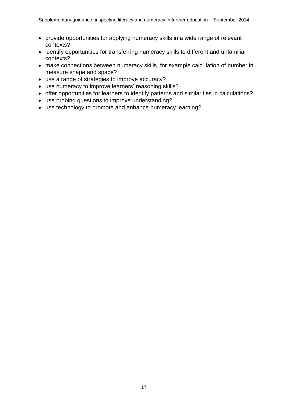- provide opportunities for applying numeracy skills in a wide range of relevant contexts?
- identify opportunities for transferring numeracy skills to different and unfamiliar contexts?
- make connections between numeracy skills, for example calculation of number in measure shape and space?
- use a range of strategies to improve accuracy?
- use numeracy to improve learners' reasoning skills?
- offer opportunities for learners to identify patterns and similarities in calculations?
- use probing questions to improve understanding?
- use technology to promote and enhance numeracy learning?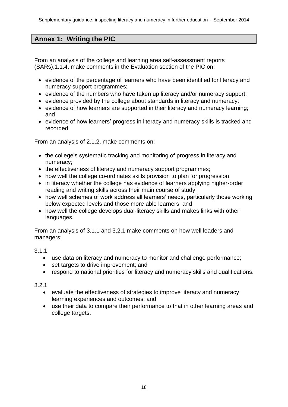# **Annex 1: Writing the PIC**

From an analysis of the college and learning area self-assessment reports (SARs),1.1.4, make comments in the Evaluation section of the PIC on:

- evidence of the percentage of learners who have been identified for literacy and numeracy support programmes;
- evidence of the numbers who have taken up literacy and/or numeracy support;
- evidence provided by the college about standards in literacy and numeracy;
- evidence of how learners are supported in their literacy and numeracy learning; and
- evidence of how learners' progress in literacy and numeracy skills is tracked and recorded.

From an analysis of 2.1.2, make comments on:

- the college's systematic tracking and monitoring of progress in literacy and numeracy;
- the effectiveness of literacy and numeracy support programmes:
- how well the college co-ordinates skills provision to plan for progression;
- in literacy whether the college has evidence of learners applying higher-order reading and writing skills across their main course of study;
- how well schemes of work address all learners' needs, particularly those working below expected levels and those more able learners; and
- how well the college develops dual-literacy skills and makes links with other languages.

From an analysis of 3.1.1 and 3.2.1 make comments on how well leaders and managers:

## 3.1.1

- use data on literacy and numeracy to monitor and challenge performance;
- set targets to drive improvement; and
- respond to national priorities for literacy and numeracy skills and qualifications.

## 3.2.1

- evaluate the effectiveness of strategies to improve literacy and numeracy learning experiences and outcomes; and
- use their data to compare their performance to that in other learning areas and college targets.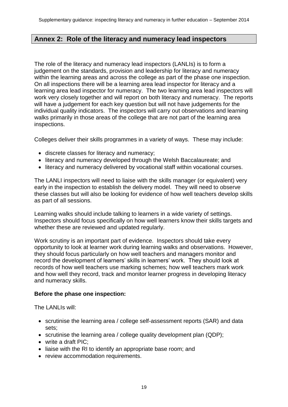## **Annex 2: Role of the literacy and numeracy lead inspectors**

The role of the literacy and numeracy lead inspectors (LANLIs) is to form a judgement on the standards, provision and leadership for literacy and numeracy within the learning areas and across the college as part of the phase one inspection. On all inspections there will be a learning area lead inspector for literacy and a learning area lead inspector for numeracy. The two learning area lead inspectors will work very closely together and will report on both literacy and numeracy. The reports will have a judgement for each key question but will not have judgements for the individual quality indicators. The inspectors will carry out observations and learning walks primarily in those areas of the college that are not part of the learning area inspections.

Colleges deliver their skills programmes in a variety of ways. These may include:

- discrete classes for literacy and numeracy;
- literacy and numeracy developed through the Welsh Baccalaureate; and
- literacy and numeracy delivered by vocational staff within vocational courses.

The LANLI inspectors will need to liaise with the skills manager (or equivalent) very early in the inspection to establish the delivery model. They will need to observe these classes but will also be looking for evidence of how well teachers develop skills as part of all sessions.

Learning walks should include talking to learners in a wide variety of settings. Inspectors should focus specifically on how well learners know their skills targets and whether these are reviewed and updated regularly.

Work scrutiny is an important part of evidence. Inspectors should take every opportunity to look at learner work during learning walks and observations. However, they should focus particularly on how well teachers and managers monitor and record the development of learners' skills in learners' work. They should look at records of how well teachers use marking schemes; how well teachers mark work and how well they record, track and monitor learner progress in developing literacy and numeracy skills.

## **Before the phase one inspection:**

The LANLIs will:

- scrutinise the learning area / college self-assessment reports (SAR) and data sets;
- scrutinise the learning area / college quality development plan (QDP);
- write a draft PIC:
- liaise with the RI to identify an appropriate base room; and
- review accommodation requirements.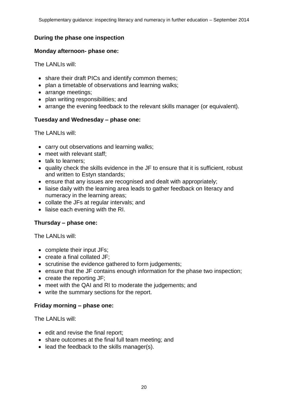Supplementary guidance: inspecting literacy and numeracy in further education – September 2014

## **During the phase one inspection**

#### **Monday afternoon- phase one:**

The LANLIs will:

- share their draft PICs and identify common themes;
- plan a timetable of observations and learning walks;
- arrange meetings;
- plan writing responsibilities; and
- arrange the evening feedback to the relevant skills manager (or equivalent).

## **Tuesday and Wednesday – phase one:**

The LANLIs will:

- carry out observations and learning walks;
- meet with relevant staff;
- talk to learners:
- quality check the skills evidence in the JF to ensure that it is sufficient, robust and written to Estyn standards;
- ensure that any issues are recognised and dealt with appropriately;
- liaise daily with the learning area leads to gather feedback on literacy and numeracy in the learning areas;
- collate the JFs at regular intervals; and
- liaise each evening with the RI.

## **Thursday – phase one:**

The LANLIs will:

- complete their input JFs;
- create a final collated JF;
- scrutinise the evidence gathered to form judgements;
- ensure that the JF contains enough information for the phase two inspection;
- $\bullet$  create the reporting JF;
- meet with the QAI and RI to moderate the judgements; and
- write the summary sections for the report.

## **Friday morning – phase one:**

The LANLIs will:

- edit and revise the final report;
- share outcomes at the final full team meeting; and
- lead the feedback to the skills manager(s).